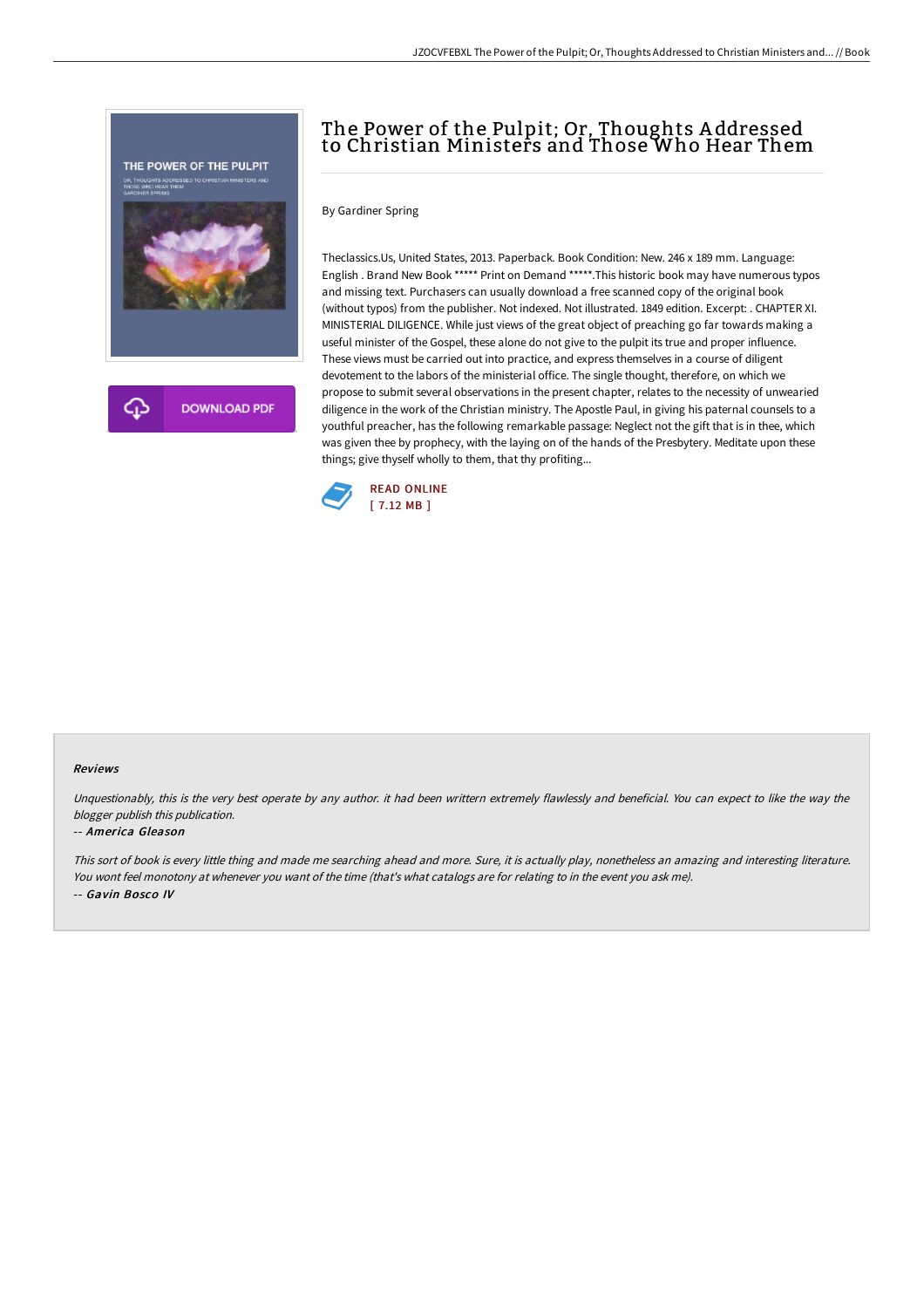

# The Power of the Pulpit; Or, Thoughts A ddressed to Christian Ministers and Those Who Hear Them

By Gardiner Spring

Theclassics.Us, United States, 2013. Paperback. Book Condition: New. 246 x 189 mm. Language: English . Brand New Book \*\*\*\*\* Print on Demand \*\*\*\*\*.This historic book may have numerous typos and missing text. Purchasers can usually download a free scanned copy of the original book (without typos) from the publisher. Not indexed. Not illustrated. 1849 edition. Excerpt: . CHAPTER XI. MINISTERIAL DILIGENCE. While just views of the great object of preaching go far towards making a useful minister of the Gospel, these alone do not give to the pulpit its true and proper influence. These views must be carried out into practice, and express themselves in a course of diligent devotement to the labors of the ministerial office. The single thought, therefore, on which we propose to submit several observations in the present chapter, relates to the necessity of unwearied diligence in the work of the Christian ministry. The Apostle Paul, in giving his paternal counsels to a youthful preacher, has the following remarkable passage: Neglect not the gift that is in thee, which was given thee by prophecy, with the laying on of the hands of the Presbytery. Meditate upon these things; give thyself wholly to them, that thy profiting...



#### Reviews

Unquestionably, this is the very best operate by any author. it had been writtern extremely flawlessly and beneficial. You can expect to like the way the blogger publish this publication.

#### -- America Gleason

This sort of book is every little thing and made me searching ahead and more. Sure, it is actually play, nonetheless an amazing and interesting literature. You wont feel monotony at whenever you want of the time (that's what catalogs are for relating to in the event you ask me). -- Gavin Bosco IV